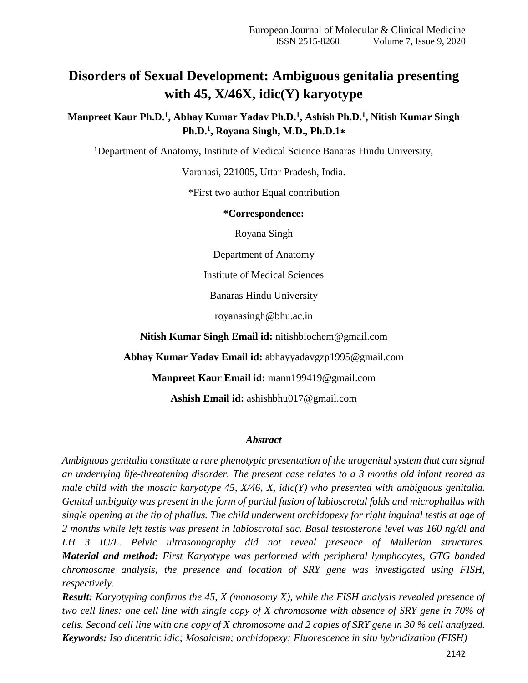# **Disorders of Sexual Development: Ambiguous genitalia presenting with 45, X/46X, idic(Y) karyotype**

**Manpreet Kaur Ph.D.<sup>1</sup> , Abhay Kumar Yadav Ph.D.<sup>1</sup> , Ashish Ph.D.<sup>1</sup> , Nitish Kumar Singh Ph.D.<sup>1</sup> , Royana Singh, M.D., Ph.D.1**∗

**<sup>1</sup>**Department of Anatomy, Institute of Medical Science Banaras Hindu University,

Varanasi, 221005, Uttar Pradesh, India.

\*First two author Equal contribution

#### **\*Correspondence:**

Royana Singh

Department of Anatomy

Institute of Medical Sciences

Banaras Hindu University

royanasingh@bhu.ac.in

**Nitish Kumar Singh Email id:** nitishbiochem@gmail.com

**Abhay Kumar Yadav Email id:** abhayyadavgzp1995@gmail.com

**Manpreet Kaur Email id:** mann199419@gmail.com

**Ashish Email id:** ashishbhu017@gmail.com

#### *Abstract*

*Ambiguous genitalia constitute a rare phenotypic presentation of the urogenital system that can signal an underlying life-threatening disorder. The present case relates to a 3 months old infant reared as male child with the mosaic karyotype 45, X/46, X, idic(Y) who presented with ambiguous genitalia. Genital ambiguity was present in the form of partial fusion of labioscrotal folds and microphallus with single opening at the tip of phallus. The child underwent orchidopexy for right inguinal testis at age of 2 months while left testis was present in labioscrotal sac. Basal testosterone level was 160 ng/dl and LH 3 IU/L. Pelvic ultrasonography did not reveal presence of Mullerian structures. Material and method: First Karyotype was performed with peripheral lymphocytes, GTG banded chromosome analysis, the presence and location of SRY gene was investigated using FISH, respectively.*

*Result: Karyotyping confirms the 45, X (monosomy X), while the FISH analysis revealed presence of two cell lines: one cell line with single copy of X chromosome with absence of SRY gene in 70% of cells. Second cell line with one copy of X chromosome and 2 copies of SRY gene in 30 % cell analyzed. Keywords: Iso dicentric idic; Mosaicism; orchidopexy; Fluorescence in situ hybridization (FISH)*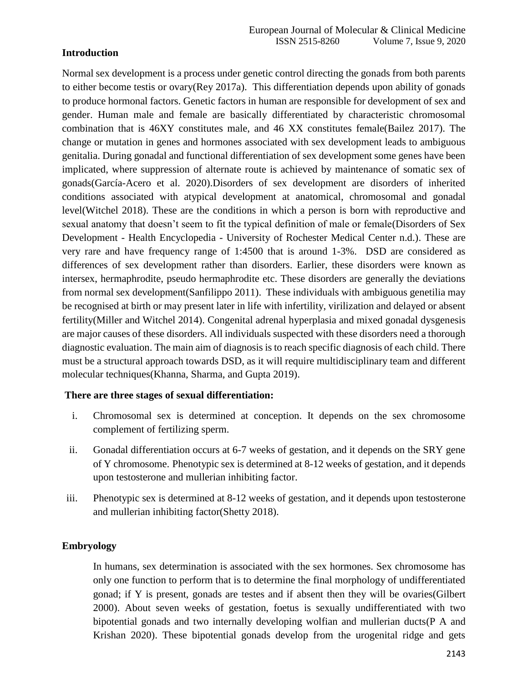### **Introduction**

Normal sex development is a process under genetic control directing the gonads from both parents to either become testis or ovary(Rey 2017a). This differentiation depends upon ability of gonads to produce hormonal factors. Genetic factors in human are responsible for development of sex and gender. Human male and female are basically differentiated by characteristic chromosomal combination that is 46XY constitutes male, and 46 XX constitutes female(Bailez 2017). The change or mutation in genes and hormones associated with sex development leads to ambiguous genitalia. During gonadal and functional differentiation of sex development some genes have been implicated, where suppression of alternate route is achieved by maintenance of somatic sex of gonads(García-Acero et al. 2020).Disorders of sex development are disorders of inherited conditions associated with atypical development at anatomical, chromosomal and gonadal level(Witchel 2018). These are the conditions in which a person is born with reproductive and sexual anatomy that doesn't seem to fit the typical definition of male or female(Disorders of Sex Development - Health Encyclopedia - University of Rochester Medical Center n.d.). These are very rare and have frequency range of 1:4500 that is around 1-3%. DSD are considered as differences of sex development rather than disorders. Earlier, these disorders were known as intersex, hermaphrodite, pseudo hermaphrodite etc. These disorders are generally the deviations from normal sex development(Sanfilippo 2011). These individuals with ambiguous genetilia may be recognised at birth or may present later in life with infertility, virilization and delayed or absent fertility(Miller and Witchel 2014). Congenital adrenal hyperplasia and mixed gonadal dysgenesis are major causes of these disorders. All individuals suspected with these disorders need a thorough diagnostic evaluation. The main aim of diagnosis is to reach specific diagnosis of each child. There must be a structural approach towards DSD, as it will require multidisciplinary team and different molecular techniques(Khanna, Sharma, and Gupta 2019).

### **There are three stages of sexual differentiation:**

- i. Chromosomal sex is determined at conception. It depends on the sex chromosome complement of fertilizing sperm.
- ii. Gonadal differentiation occurs at 6-7 weeks of gestation, and it depends on the SRY gene of Y chromosome. Phenotypic sex is determined at 8-12 weeks of gestation, and it depends upon testosterone and mullerian inhibiting factor.
- iii. Phenotypic sex is determined at 8-12 weeks of gestation, and it depends upon testosterone and mullerian inhibiting factor(Shetty 2018).

### **Embryology**

In humans, sex determination is associated with the sex hormones. Sex chromosome has only one function to perform that is to determine the final morphology of undifferentiated gonad; if Y is present, gonads are testes and if absent then they will be ovaries(Gilbert 2000). About seven weeks of gestation, foetus is sexually undifferentiated with two bipotential gonads and two internally developing wolfian and mullerian ducts(P A and Krishan 2020). These bipotential gonads develop from the urogenital ridge and gets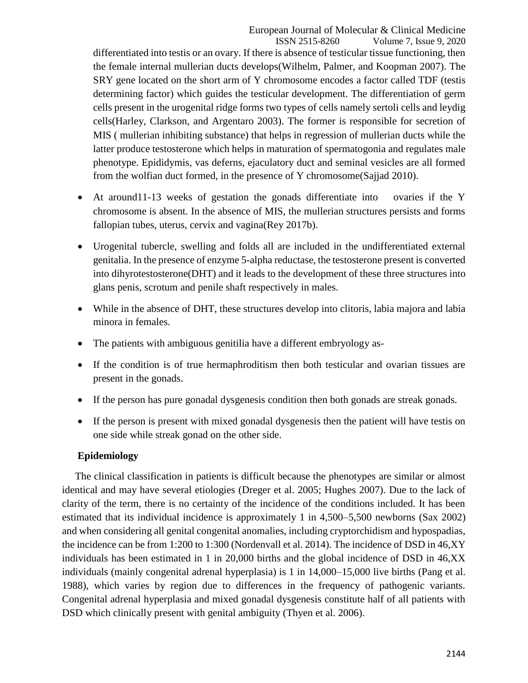ISSN 2515-8260 Volume 7, Issue 9, 2020 differentiated into testis or an ovary. If there is absence of testicular tissue functioning, then the female internal mullerian ducts develops(Wilhelm, Palmer, and Koopman 2007). The SRY gene located on the short arm of Y chromosome encodes a factor called TDF (testis determining factor) which guides the testicular development. The differentiation of germ cells present in the urogenital ridge forms two types of cells namely sertoli cells and leydig cells(Harley, Clarkson, and Argentaro 2003). The former is responsible for secretion of MIS ( mullerian inhibiting substance) that helps in regression of mullerian ducts while the latter produce testosterone which helps in maturation of spermatogonia and regulates male phenotype. Epididymis, vas deferns, ejaculatory duct and seminal vesicles are all formed from the wolfian duct formed, in the presence of Y chromosome(Sajjad 2010).

- At around11-13 weeks of gestation the gonads differentiate into ovaries if the Y chromosome is absent. In the absence of MIS, the mullerian structures persists and forms fallopian tubes, uterus, cervix and vagina(Rey 2017b).
- Urogenital tubercle, swelling and folds all are included in the undifferentiated external genitalia. In the presence of enzyme 5-alpha reductase, the testosterone present is converted into dihyrotestosterone(DHT) and it leads to the development of these three structures into glans penis, scrotum and penile shaft respectively in males.
- While in the absence of DHT, these structures develop into clitoris, labia majora and labia minora in females.
- The patients with ambiguous genitilia have a different embryology as-
- If the condition is of true hermaphroditism then both testicular and ovarian tissues are present in the gonads.
- If the person has pure gonadal dysgenesis condition then both gonads are streak gonads.
- If the person is present with mixed gonadal dysgenesis then the patient will have testis on one side while streak gonad on the other side.

# **Epidemiology**

The clinical classification in patients is difficult because the phenotypes are similar or almost identical and may have several etiologies (Dreger et al. 2005; Hughes 2007). Due to the lack of clarity of the term, there is no certainty of the incidence of the conditions included. It has been estimated that its individual incidence is approximately 1 in 4,500–5,500 newborns (Sax 2002) and when considering all genital congenital anomalies, including cryptorchidism and hypospadias, the incidence can be from 1:200 to 1:300 (Nordenvall et al. 2014). The incidence of DSD in 46,XY individuals has been estimated in 1 in 20,000 births and the global incidence of DSD in 46,XX individuals (mainly congenital adrenal hyperplasia) is 1 in 14,000–15,000 live births (Pang et al. 1988), which varies by region due to differences in the frequency of pathogenic variants. Congenital adrenal hyperplasia and mixed gonadal dysgenesis constitute half of all patients with DSD which clinically present with genital ambiguity (Thyen et al. 2006).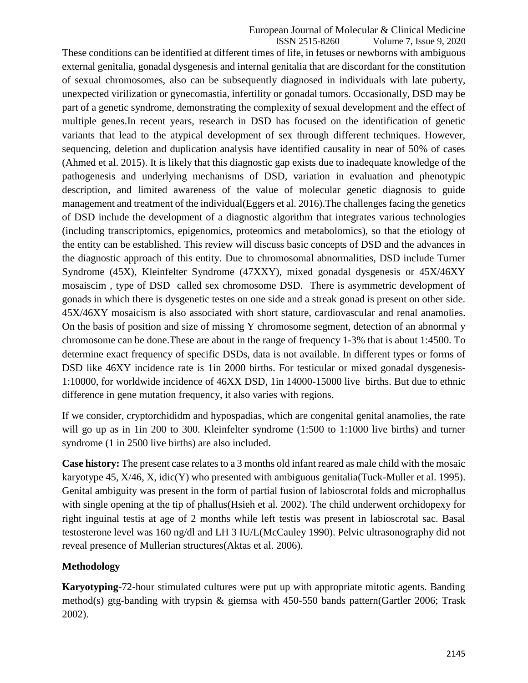ISSN 2515-8260 Volume 7, Issue 9, 2020 These conditions can be identified at different times of life, in fetuses or newborns with ambiguous external genitalia, gonadal dysgenesis and internal genitalia that are discordant for the constitution of sexual chromosomes, also can be subsequently diagnosed in individuals with late puberty, unexpected virilization or gynecomastia, infertility or gonadal tumors. Occasionally, DSD may be part of a genetic syndrome, demonstrating the complexity of sexual development and the effect of multiple genes.In recent years, research in DSD has focused on the identification of genetic variants that lead to the atypical development of sex through different techniques. However, sequencing, deletion and duplication analysis have identified causality in near of 50% of cases (Ahmed et al. 2015). It is likely that this diagnostic gap exists due to inadequate knowledge of the pathogenesis and underlying mechanisms of DSD, variation in evaluation and phenotypic description, and limited awareness of the value of molecular genetic diagnosis to guide management and treatment of the individual(Eggers et al. 2016).The challenges facing the genetics of DSD include the development of a diagnostic algorithm that integrates various technologies (including transcriptomics, epigenomics, proteomics and metabolomics), so that the etiology of the entity can be established. This review will discuss basic concepts of DSD and the advances in the diagnostic approach of this entity. Due to chromosomal abnormalities, DSD include Turner Syndrome (45X), Kleinfelter Syndrome (47XXY), mixed gonadal dysgenesis or 45X/46XY mosaiscim , type of DSD called sex chromosome DSD. There is asymmetric development of gonads in which there is dysgenetic testes on one side and a streak gonad is present on other side. 45X/46XY mosaicism is also associated with short stature, cardiovascular and renal anamolies. On the basis of position and size of missing Y chromosome segment, detection of an abnormal y chromosome can be done.These are about in the range of frequency 1-3% that is about 1:4500. To determine exact frequency of specific DSDs, data is not available. In different types or forms of DSD like 46XY incidence rate is 1 in 2000 births. For testicular or mixed gonadal dysgenesis-1:10000, for worldwide incidence of 46XX DSD, 1in 14000-15000 live births. But due to ethnic difference in gene mutation frequency, it also varies with regions.

If we consider, cryptorchididm and hypospadias, which are congenital genital anamolies, the rate will go up as in 1in 200 to 300. Kleinfelter syndrome (1:500 to 1:1000 live births) and turner syndrome (1 in 2500 live births) are also included.

**Case history:** The present case relates to a 3 months old infant reared as male child with the mosaic karyotype 45, X/46, X, idic(Y) who presented with ambiguous genitalia(Tuck-Muller et al. 1995). Genital ambiguity was present in the form of partial fusion of labioscrotal folds and microphallus with single opening at the tip of phallus(Hsieh et al. 2002). The child underwent orchidopexy for right inguinal testis at age of 2 months while left testis was present in labioscrotal sac. Basal testosterone level was 160 ng/dl and LH 3 IU/L(McCauley 1990). Pelvic ultrasonography did not reveal presence of Mullerian structures(Aktas et al. 2006).

# **Methodology**

**Karyotyping-**72-hour stimulated cultures were put up with appropriate mitotic agents. Banding method(s) gtg-banding with trypsin & giemsa with 450-550 bands pattern(Gartler 2006; Trask 2002).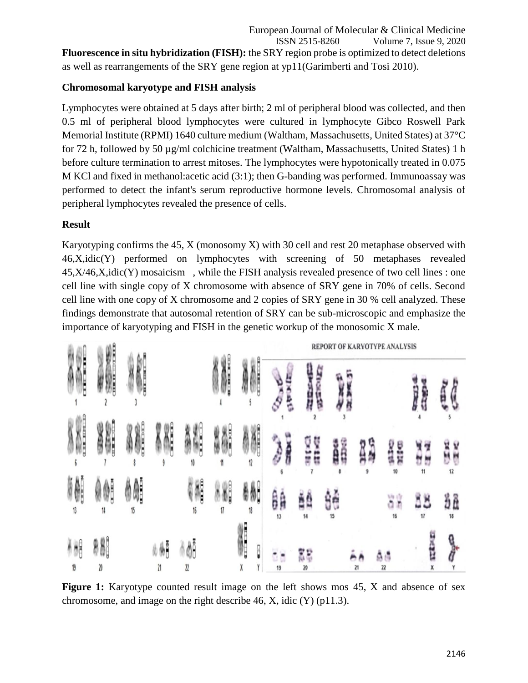European Journal of Molecular & Clinical Medicine ISSN 2515-8260 Volume 7, Issue 9, 2020 **Fluorescence in situ hybridization (FISH):** the SRY region probe is optimized to detect deletions as well as rearrangements of the SRY gene region at yp11(Garimberti and Tosi 2010).

# **Chromosomal karyotype and FISH analysis**

Lymphocytes were obtained at 5 days after birth; 2 ml of peripheral blood was collected, and then 0.5 ml of peripheral blood lymphocytes were cultured in lymphocyte Gibco Roswell Park Memorial Institute (RPMI) 1640 culture medium (Waltham, Massachusetts, United States) at 37°C for 72 h, followed by 50 µg/ml colchicine treatment (Waltham, Massachusetts, United States) 1 h before culture termination to arrest mitoses. The lymphocytes were hypotonically treated in 0.075 M KCl and fixed in methanol:acetic acid (3:1); then G-banding was performed. Immunoassay was performed to detect the infant's serum reproductive hormone levels. Chromosomal analysis of peripheral lymphocytes revealed the presence of cells.

# **Result**

Karyotyping confirms the 45, X (monosomy X) with 30 cell and rest 20 metaphase observed with 46,X,idic(Y) performed on lymphocytes with screening of 50 metaphases revealed  $45, X/46, X, idic(Y)$  mosaicism, while the FISH analysis revealed presence of two cell lines : one cell line with single copy of X chromosome with absence of SRY gene in 70% of cells. Second cell line with one copy of X chromosome and 2 copies of SRY gene in 30 % cell analyzed. These findings demonstrate that autosomal retention of SRY can be sub-microscopic and emphasize the importance of karyotyping and FISH in the genetic workup of the monosomic X male.



**Figure 1:** Karyotype counted result image on the left shows mos 45, X and absence of sex chromosome, and image on the right describe 46, X, idic (Y) (p11.3).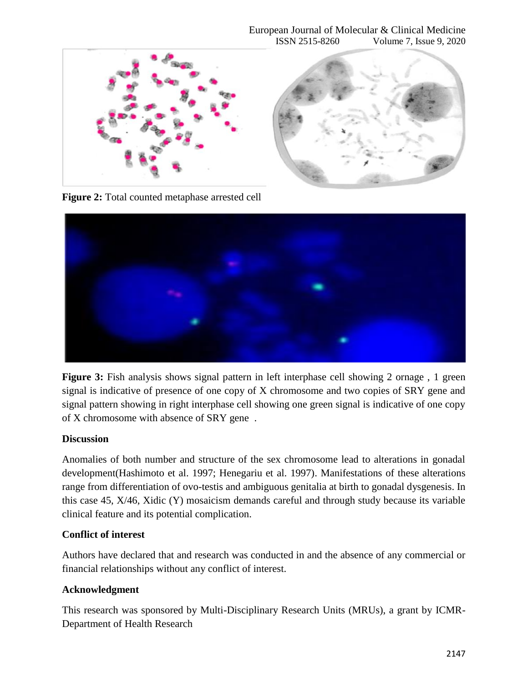#### European Journal of Molecular & Clinical Medicine ISSN 2515-8260 Volume 7, Issue 9, 2020



**Figure 2:** Total counted metaphase arrested cell



**Figure 3:** Fish analysis shows signal pattern in left interphase cell showing 2 ornage, 1 green signal is indicative of presence of one copy of X chromosome and two copies of SRY gene and signal pattern showing in right interphase cell showing one green signal is indicative of one copy of X chromosome with absence of SRY gene .

### **Discussion**

Anomalies of both number and structure of the sex chromosome lead to alterations in gonadal development(Hashimoto et al. 1997; Henegariu et al. 1997). Manifestations of these alterations range from differentiation of ovo-testis and ambiguous genitalia at birth to gonadal dysgenesis. In this case 45, X/46, Xidic (Y) mosaicism demands careful and through study because its variable clinical feature and its potential complication.

### **Conflict of interest**

Authors have declared that and research was conducted in and the absence of any commercial or financial relationships without any conflict of interest.

### **Acknowledgment**

This research was sponsored by Multi-Disciplinary Research Units (MRUs), a grant by ICMR-Department of Health Research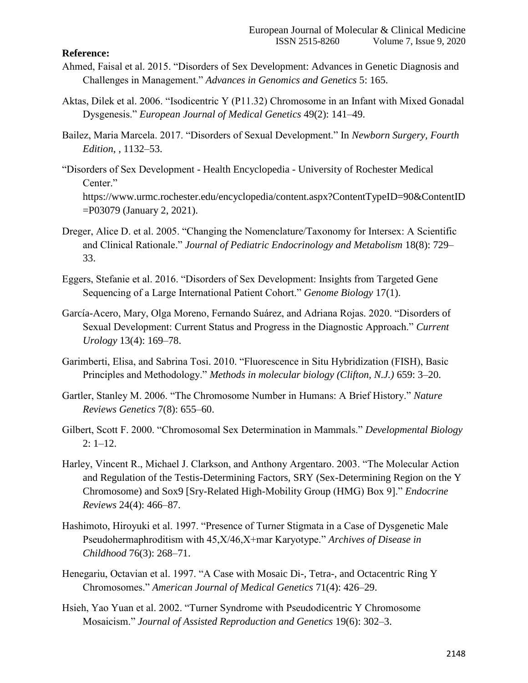#### **Reference:**

- Ahmed, Faisal et al. 2015. "Disorders of Sex Development: Advances in Genetic Diagnosis and Challenges in Management." *Advances in Genomics and Genetics* 5: 165.
- Aktas, Dilek et al. 2006. "Isodicentric Y (P11.32) Chromosome in an Infant with Mixed Gonadal Dysgenesis." *European Journal of Medical Genetics* 49(2): 141–49.
- Bailez, Maria Marcela. 2017. "Disorders of Sexual Development." In *Newborn Surgery, Fourth Edition*, , 1132–53.
- "Disorders of Sex Development Health Encyclopedia University of Rochester Medical Center." https://www.urmc.rochester.edu/encyclopedia/content.aspx?ContentTypeID=90&ContentID =P03079 (January 2, 2021).
- Dreger, Alice D. et al. 2005. "Changing the Nomenclature/Taxonomy for Intersex: A Scientific and Clinical Rationale." *Journal of Pediatric Endocrinology and Metabolism* 18(8): 729– 33.
- Eggers, Stefanie et al. 2016. "Disorders of Sex Development: Insights from Targeted Gene Sequencing of a Large International Patient Cohort." *Genome Biology* 17(1).
- García-Acero, Mary, Olga Moreno, Fernando Suárez, and Adriana Rojas. 2020. "Disorders of Sexual Development: Current Status and Progress in the Diagnostic Approach." *Current Urology* 13(4): 169–78.
- Garimberti, Elisa, and Sabrina Tosi. 2010. "Fluorescence in Situ Hybridization (FISH), Basic Principles and Methodology." *Methods in molecular biology (Clifton, N.J.)* 659: 3–20.
- Gartler, Stanley M. 2006. "The Chromosome Number in Humans: A Brief History." *Nature Reviews Genetics* 7(8): 655–60.
- Gilbert, Scott F. 2000. "Chromosomal Sex Determination in Mammals." *Developmental Biology*  $2: 1-12.$
- Harley, Vincent R., Michael J. Clarkson, and Anthony Argentaro. 2003. "The Molecular Action and Regulation of the Testis-Determining Factors, SRY (Sex-Determining Region on the Y Chromosome) and Sox9 [Sry-Related High-Mobility Group (HMG) Box 9]." *Endocrine Reviews* 24(4): 466–87.
- Hashimoto, Hiroyuki et al. 1997. "Presence of Turner Stigmata in a Case of Dysgenetic Male Pseudohermaphroditism with 45,X/46,X+mar Karyotype." *Archives of Disease in Childhood* 76(3): 268–71.
- Henegariu, Octavian et al. 1997. "A Case with Mosaic Di-, Tetra-, and Octacentric Ring Y Chromosomes." *American Journal of Medical Genetics* 71(4): 426–29.
- Hsieh, Yao Yuan et al. 2002. "Turner Syndrome with Pseudodicentric Y Chromosome Mosaicism." *Journal of Assisted Reproduction and Genetics* 19(6): 302–3.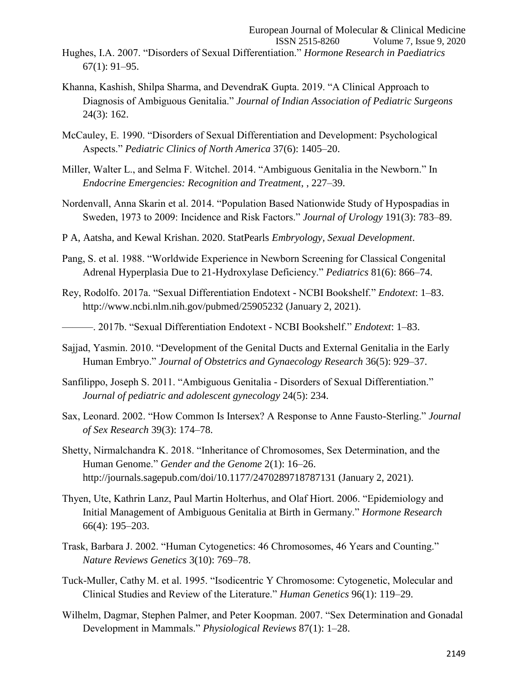- Khanna, Kashish, Shilpa Sharma, and DevendraK Gupta. 2019. "A Clinical Approach to Diagnosis of Ambiguous Genitalia." *Journal of Indian Association of Pediatric Surgeons* 24(3): 162.
- McCauley, E. 1990. "Disorders of Sexual Differentiation and Development: Psychological Aspects." *Pediatric Clinics of North America* 37(6): 1405–20.
- Miller, Walter L., and Selma F. Witchel. 2014. "Ambiguous Genitalia in the Newborn." In *Endocrine Emergencies: Recognition and Treatment*, , 227–39.
- Nordenvall, Anna Skarin et al. 2014. "Population Based Nationwide Study of Hypospadias in Sweden, 1973 to 2009: Incidence and Risk Factors." *Journal of Urology* 191(3): 783–89.
- P A, Aatsha, and Kewal Krishan. 2020. StatPearls *Embryology, Sexual Development*.
- Pang, S. et al. 1988. "Worldwide Experience in Newborn Screening for Classical Congenital Adrenal Hyperplasia Due to 21-Hydroxylase Deficiency." *Pediatrics* 81(6): 866–74.
- Rey, Rodolfo. 2017a. "Sexual Differentiation Endotext NCBI Bookshelf." *Endotext*: 1–83. http://www.ncbi.nlm.nih.gov/pubmed/25905232 (January 2, 2021).
- ———. 2017b. "Sexual Differentiation Endotext NCBI Bookshelf." *Endotext*: 1–83.
- Sajjad, Yasmin. 2010. "Development of the Genital Ducts and External Genitalia in the Early Human Embryo." *Journal of Obstetrics and Gynaecology Research* 36(5): 929–37.
- Sanfilippo, Joseph S. 2011. "Ambiguous Genitalia Disorders of Sexual Differentiation." *Journal of pediatric and adolescent gynecology* 24(5): 234.
- Sax, Leonard. 2002. "How Common Is Intersex? A Response to Anne Fausto-Sterling." *Journal of Sex Research* 39(3): 174–78.
- Shetty, Nirmalchandra K. 2018. "Inheritance of Chromosomes, Sex Determination, and the Human Genome." *Gender and the Genome* 2(1): 16–26. http://journals.sagepub.com/doi/10.1177/2470289718787131 (January 2, 2021).
- Thyen, Ute, Kathrin Lanz, Paul Martin Holterhus, and Olaf Hiort. 2006. "Epidemiology and Initial Management of Ambiguous Genitalia at Birth in Germany." *Hormone Research* 66(4): 195–203.
- Trask, Barbara J. 2002. "Human Cytogenetics: 46 Chromosomes, 46 Years and Counting." *Nature Reviews Genetics* 3(10): 769–78.
- Tuck-Muller, Cathy M. et al. 1995. "Isodicentric Y Chromosome: Cytogenetic, Molecular and Clinical Studies and Review of the Literature." *Human Genetics* 96(1): 119–29.
- Wilhelm, Dagmar, Stephen Palmer, and Peter Koopman. 2007. "Sex Determination and Gonadal Development in Mammals." *Physiological Reviews* 87(1): 1–28.